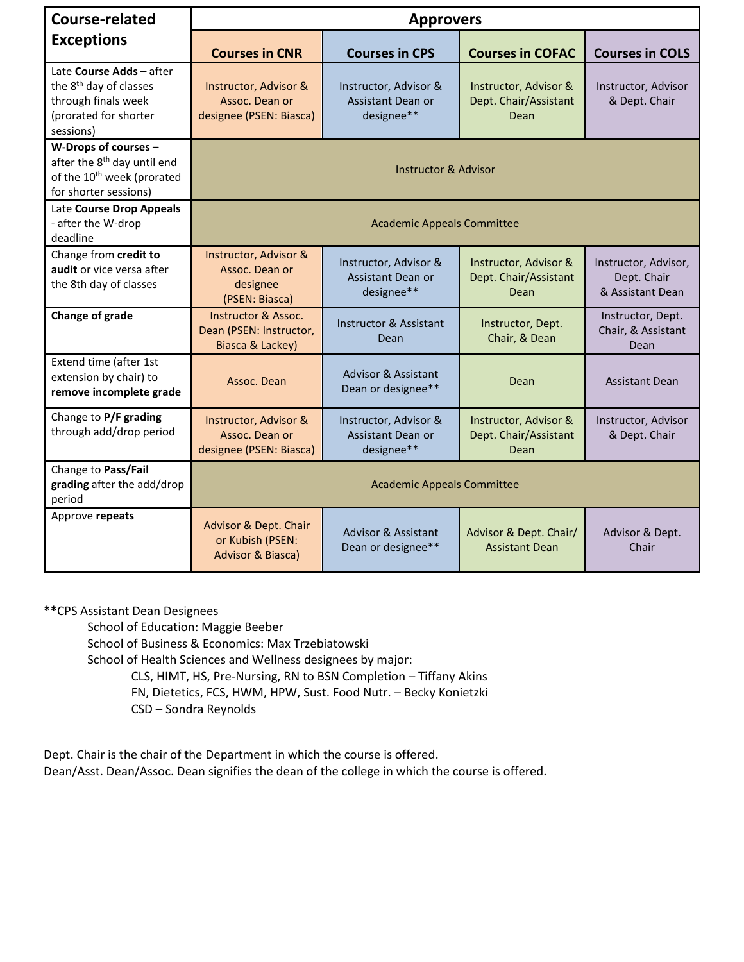| Course-related                                                                                                                     | <b>Approvers</b>                                                              |                                                                 |                                                        |                                                         |  |  |
|------------------------------------------------------------------------------------------------------------------------------------|-------------------------------------------------------------------------------|-----------------------------------------------------------------|--------------------------------------------------------|---------------------------------------------------------|--|--|
| <b>Exceptions</b>                                                                                                                  | <b>Courses in CNR</b>                                                         | <b>Courses in CPS</b>                                           | <b>Courses in COFAC</b>                                | <b>Courses in COLS</b>                                  |  |  |
| Late Course Adds - after<br>the 8 <sup>th</sup> day of classes<br>through finals week<br>(prorated for shorter<br>sessions)        | Instructor, Advisor &<br>Assoc. Dean or<br>designee (PSEN: Biasca)            | Instructor, Advisor &<br>Assistant Dean or<br>designee**        | Instructor, Advisor &<br>Dept. Chair/Assistant<br>Dean | Instructor, Advisor<br>& Dept. Chair                    |  |  |
| W-Drops of courses -<br>after the 8 <sup>th</sup> day until end<br>of the 10 <sup>th</sup> week (prorated<br>for shorter sessions) | <b>Instructor &amp; Advisor</b>                                               |                                                                 |                                                        |                                                         |  |  |
| Late Course Drop Appeals<br>- after the W-drop<br>deadline                                                                         | <b>Academic Appeals Committee</b>                                             |                                                                 |                                                        |                                                         |  |  |
| Change from credit to<br>audit or vice versa after<br>the 8th day of classes                                                       | Instructor, Advisor &<br>Assoc. Dean or<br>designee<br>(PSEN: Biasca)         | Instructor, Advisor &<br>Assistant Dean or<br>designee**        | Instructor, Advisor &<br>Dept. Chair/Assistant<br>Dean | Instructor, Advisor,<br>Dept. Chair<br>& Assistant Dean |  |  |
| Change of grade                                                                                                                    | <b>Instructor &amp; Assoc.</b><br>Dean (PSEN: Instructor,<br>Biasca & Lackey) | <b>Instructor &amp; Assistant</b><br>Dean                       | Instructor, Dept.<br>Chair, & Dean                     | Instructor, Dept.<br>Chair, & Assistant<br>Dean         |  |  |
| Extend time (after 1st<br>extension by chair) to<br>remove incomplete grade                                                        | Assoc. Dean                                                                   | <b>Advisor &amp; Assistant</b><br>Dean or designee**            | Dean                                                   | <b>Assistant Dean</b>                                   |  |  |
| Change to P/F grading<br>through add/drop period                                                                                   | <b>Instructor, Advisor &amp;</b><br>Assoc. Dean or<br>designee (PSEN: Biasca) | Instructor, Advisor &<br><b>Assistant Dean or</b><br>designee** | Instructor, Advisor &<br>Dept. Chair/Assistant<br>Dean | Instructor, Advisor<br>& Dept. Chair                    |  |  |
| Change to Pass/Fail<br>grading after the add/drop<br>period                                                                        | <b>Academic Appeals Committee</b>                                             |                                                                 |                                                        |                                                         |  |  |
| Approve repeats                                                                                                                    | Advisor & Dept. Chair<br>or Kubish (PSEN:<br><b>Advisor &amp; Biasca)</b>     | <b>Advisor &amp; Assistant</b><br>Dean or designee**            | Advisor & Dept. Chair/<br><b>Assistant Dean</b>        | Advisor & Dept.<br>Chair                                |  |  |

## **\*\***CPS Assistant Dean Designees

School of Education: Maggie Beeber

School of Business & Economics: Max Trzebiatowski

School of Health Sciences and Wellness designees by major:

CLS, HIMT, HS, Pre-Nursing, RN to BSN Completion – Tiffany Akins

FN, Dietetics, FCS, HWM, HPW, Sust. Food Nutr. – Becky Konietzki

CSD – Sondra Reynolds

Dept. Chair is the chair of the Department in which the course is offered. Dean/Asst. Dean/Assoc. Dean signifies the dean of the college in which the course is offered.